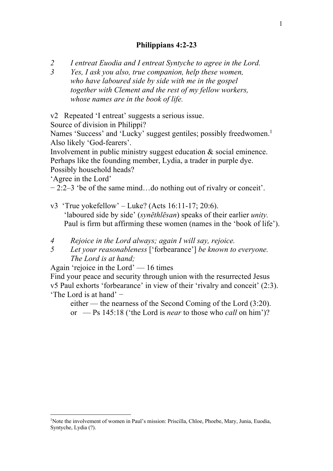## **Philippians 4:2-23**

*2 I entreat Euodia and I entreat Syntyche to agree in the Lord.* 

*3 Yes, I ask you also, true companion, help these women, who have laboured side by side with me in the gospel together with Clement and the rest of my fellow workers, whose names are in the book of life.*

v2 Repeated 'I entreat' suggests a serious issue.

Source of division in Philippi?

Names 'Success' and 'Lucky' suggest gentiles; possibly freedwomen.<sup>1</sup> Also likely 'God-fearers'.

Involvement in public ministry suggest education & social eminence. Perhaps like the founding member, Lydia, a trader in purple dye. Possibly household heads?

'Agree in the Lord'

− 2:2–3 'be of the same mind…do nothing out of rivalry or conceit'.

- v3 'True yokefellow' Luke? (Acts  $16:11-17$ ; 20:6). 'laboured side by side' (*synēthlēsan*) speaks of their earlier *unity.* Paul is firm but affirming these women (names in the 'book of life').
- *4 Rejoice in the Lord always; again I will say, rejoice.*
- *5 Let your reasonableness* ['forbearance'] *be known to everyone. The Lord is at hand;*

Again 'rejoice in the Lord' — 16 times

Find your peace and security through union with the resurrected Jesus v5 Paul exhorts 'forbearance' in view of their 'rivalry and conceit' (2:3). 'The Lord is at hand' −

either — the nearness of the Second Coming of the Lord (3:20). or — Ps 145:18 ('the Lord is *near* to those who *call* on him')?

<sup>&</sup>lt;sup>1</sup>Note the involvement of women in Paul's mission: Priscilla, Chloe, Phoebe, Mary, Junia, Euodia, Syntyche, Lydia (?).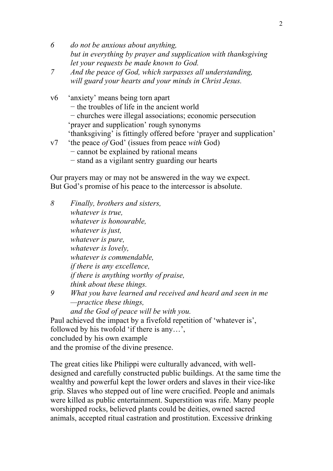- *6 do not be anxious about anything, but in everything by prayer and supplication with thanksgiving let your requests be made known to God.*
- *7 And the peace of God, which surpasses all understanding, will guard your hearts and your minds in Christ Jesus.*
- v6 'anxiety' means being torn apart − the troubles of life in the ancient world − churches were illegal associations; economic persecution 'prayer and supplication' rough synonyms 'thanksgiving' is fittingly offered before 'prayer and supplication' v7 'the peace *of* God' (issues from peace *with* God) − cannot be explained by rational means − stand as a vigilant sentry guarding our hearts

Our prayers may or may not be answered in the way we expect. But God's promise of his peace to the intercessor is absolute.

*8 Finally, brothers and sisters, whatever is true, whatever is honourable, whatever is just, whatever is pure, whatever is lovely, whatever is commendable, if there is any excellence, if there is anything worthy of praise, think about these things. 9 What you have learned and received and heard and seen in me —practice these things, and the God of peace will be with you.* Paul achieved the impact by a fivefold repetition of 'whatever is', followed by his twofold 'if there is any…', concluded by his own example and the promise of the divine presence.

The great cities like Philippi were culturally advanced, with welldesigned and carefully constructed public buildings. At the same time the wealthy and powerful kept the lower orders and slaves in their vice-like grip. Slaves who stepped out of line were crucified. People and animals were killed as public entertainment. Superstition was rife. Many people worshipped rocks, believed plants could be deities, owned sacred animals, accepted ritual castration and prostitution. Excessive drinking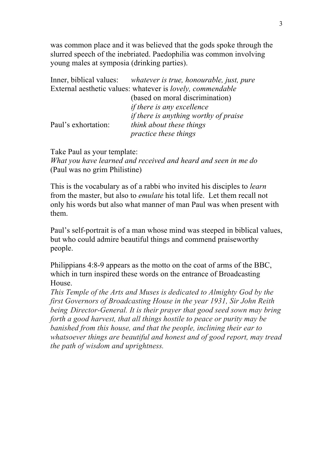was common place and it was believed that the gods spoke through the slurred speech of the inebriated. Paedophilia was common involving young males at symposia (drinking parties).

|                     | Inner, biblical values: whatever is true, honourable, just, pure          |
|---------------------|---------------------------------------------------------------------------|
|                     | External aesthetic values: whatever is <i>lovely</i> , <i>commendable</i> |
|                     | (based on moral discrimination)                                           |
|                     | <i>if there is any excellence</i>                                         |
|                     | <i>if there is anything worthy of praise</i>                              |
| Paul's exhortation: | think about these things                                                  |
|                     | <i>practice these things</i>                                              |

Take Paul as your template: *What you have learned and received and heard and seen in me do* (Paul was no grim Philistine)

This is the vocabulary as of a rabbi who invited his disciples to *learn* from the master, but also to *emulate* his total life. Let them recall not only his words but also what manner of man Paul was when present with them.

Paul's self-portrait is of a man whose mind was steeped in biblical values, but who could admire beautiful things and commend praiseworthy people.

Philippians 4:8-9 appears as the motto on the coat of arms of the BBC, which in turn inspired these words on the entrance of Broadcasting House.

*This Temple of the Arts and Muses is dedicated to Almighty God by the first Governors of Broadcasting House in the year 1931, Sir John Reith being Director-General. It is their prayer that good seed sown may bring forth a good harvest, that all things hostile to peace or purity may be banished from this house, and that the people, inclining their ear to whatsoever things are beautiful and honest and of good report, may tread the path of wisdom and uprightness.*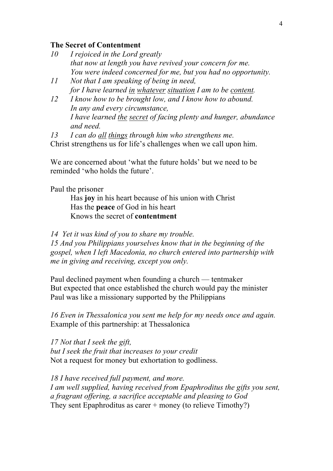## **The Secret of Contentment**

| 10 | I rejoiced in the Lord greatly                                |
|----|---------------------------------------------------------------|
|    | that now at length you have revived your concern for me.      |
|    | You were indeed concerned for me, but you had no opportunity. |

- *11 Not that I am speaking of being in need, for I have learned in whatever situation I am to be content.*
- *12 I know how to be brought low, and I know how to abound. In any and every circumstance, I have learned the secret of facing plenty and hunger, abundance and need.*

*13 I can do all things through him who strengthens me.* Christ strengthens us for life's challenges when we call upon him.

We are concerned about 'what the future holds' but we need to be reminded 'who holds the future'.

Paul the prisoner

Has **joy** in his heart because of his union with Christ Has the **peace** of God in his heart Knows the secret of **contentment**

*14 Yet it was kind of you to share my trouble.* 

*15 And you Philippians yourselves know that in the beginning of the gospel, when I left Macedonia, no church entered into partnership with me in giving and receiving, except you only.*

Paul declined payment when founding a church — tentmaker But expected that once established the church would pay the minister Paul was like a missionary supported by the Philippians

*16 Even in Thessalonica you sent me help for my needs once and again.*  Example of this partnership: at Thessalonica

*17 Not that I seek the gift, but I seek the fruit that increases to your credit* Not a request for money but exhortation to godliness.

*18 I have received full payment, and more. I am well supplied, having received from Epaphroditus the gifts you sent, a fragrant offering, a sacrifice acceptable and pleasing to God* They sent Epaphroditus as carer + money (to relieve Timothy?)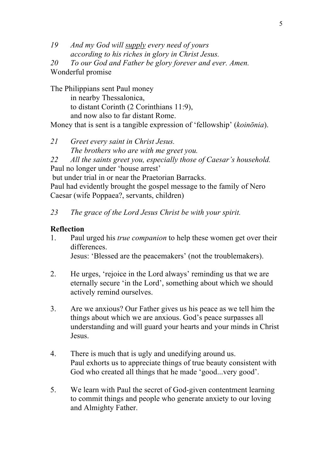*19 And my God will supply every need of yours according to his riches in glory in Christ Jesus.* 

*20 To our God and Father be glory forever and ever. Amen.* Wonderful promise

The Philippians sent Paul money in nearby Thessalonica, to distant Corinth (2 Corinthians 11:9), and now also to far distant Rome. Money that is sent is a tangible expression of 'fellowship' (*koinōnia*).

*21 Greet every saint in Christ Jesus. The brothers who are with me greet you. 22 All the saints greet you, especially those of Caesar's household.* Paul no longer under 'house arrest' but under trial in or near the Praetorian Barracks. Paul had evidently brought the gospel message to the family of Nero

Caesar (wife Poppaea?, servants, children)

*23 The grace of the Lord Jesus Christ be with your spirit.*

## **Reflection**

- 1. Paul urged his *true companion* to help these women get over their differences. Jesus: 'Blessed are the peacemakers' (not the troublemakers).
- 2. He urges, 'rejoice in the Lord always' reminding us that we are eternally secure 'in the Lord', something about which we should actively remind ourselves.
- 3. Are we anxious? Our Father gives us his peace as we tell him the things about which we are anxious. God's peace surpasses all understanding and will guard your hearts and your minds in Christ Jesus.
- 4. There is much that is ugly and unedifying around us. Paul exhorts us to appreciate things of true beauty consistent with God who created all things that he made 'good...very good'.
- 5. We learn with Paul the secret of God-given contentment learning to commit things and people who generate anxiety to our loving and Almighty Father.